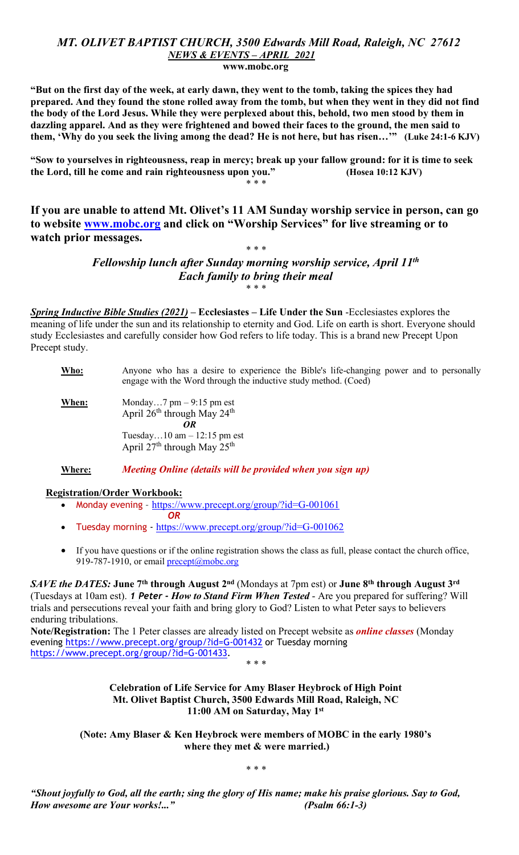### MT. OLIVET BAPTIST CHURCH, 3500 Edwards Mill Road, Raleigh, NC 27612 NEWS & EVENTS – APRIL 2021 www.mobc.org

"But on the first day of the week, at early dawn, they went to the tomb, taking the spices they had prepared. And they found the stone rolled away from the tomb, but when they went in they did not find the body of the Lord Jesus. While they were perplexed about this, behold, two men stood by them in dazzling apparel. And as they were frightened and bowed their faces to the ground, the men said to them, 'Why do you seek the living among the dead? He is not here, but has risen…'" (Luke 24:1-6 KJV)

"Sow to yourselves in righteousness, reap in mercy; break up your fallow ground: for it is time to seek the Lord, till he come and rain righteousness upon you." (Hosea 10:12 KJV) \* \* \*

If you are unable to attend Mt. Olivet's 11 AM Sunday worship service in person, can go to website www.mobc.org and click on "Worship Services" for live streaming or to watch prior messages.

## \* \* \* Fellowship lunch after Sunday morning worship service, April 11th Each family to bring their meal \* \* \*

Spring Inductive Bible Studies  $(2021)$  – Ecclesiastes – Life Under the Sun -Ecclesiastes explores the meaning of life under the sun and its relationship to eternity and God. Life on earth is short. Everyone should study Ecclesiastes and carefully consider how God refers to life today. This is a brand new Precept Upon Precept study.

#### Who: Anyone who has a desire to experience the Bible's life-changing power and to personally engage with the Word through the inductive study method. (Coed)

**When:** Monday...7  $pm - 9:15$   $pm$  est April 26<sup>th</sup> through May 24<sup>th</sup> OR Tuesday…10 am – 12:15 pm est April  $27<sup>th</sup>$  through May  $25<sup>th</sup>$ 

# Where: Meeting Online (details will be provided when you sign up)

# Registration/Order Workbook:

- Monday evening https://www.precept.org/group/?id=G-001061
	- OR
- Tuesday morning https://www.precept.org/group/?id=G-001062
- If you have questions or if the online registration shows the class as full, please contact the church office, 919-787-1910, or email  $precept@mobe.org$

SAVE the DATES: June 7<sup>th</sup> through August 2<sup>nd</sup> (Mondays at 7pm est) or June 8<sup>th</sup> through August 3<sup>rd</sup> (Tuesdays at 10am est). 1 Peter - How to Stand Firm When Tested - Are you prepared for suffering? Will trials and persecutions reveal your faith and bring glory to God? Listen to what Peter says to believers enduring tribulations.

Note/Registration: The 1 Peter classes are already listed on Precept website as *online classes* (Monday evening https://www.precept.org/group/?id=G-001432 or Tuesday morning https://www.precept.org/group/?id=G-001433. \* \* \*

#### Celebration of Life Service for Amy Blaser Heybrock of High Point Mt. Olivet Baptist Church, 3500 Edwards Mill Road, Raleigh, NC 11:00 AM on Saturday, May 1st

(Note: Amy Blaser & Ken Heybrock were members of MOBC in the early 1980's where they met  $&$  were married.)

\* \* \*

"Shout joyfully to God, all the earth; sing the glory of His name; make his praise glorious. Say to God, How awesome are Your works!..." (Psalm 66:1-3)